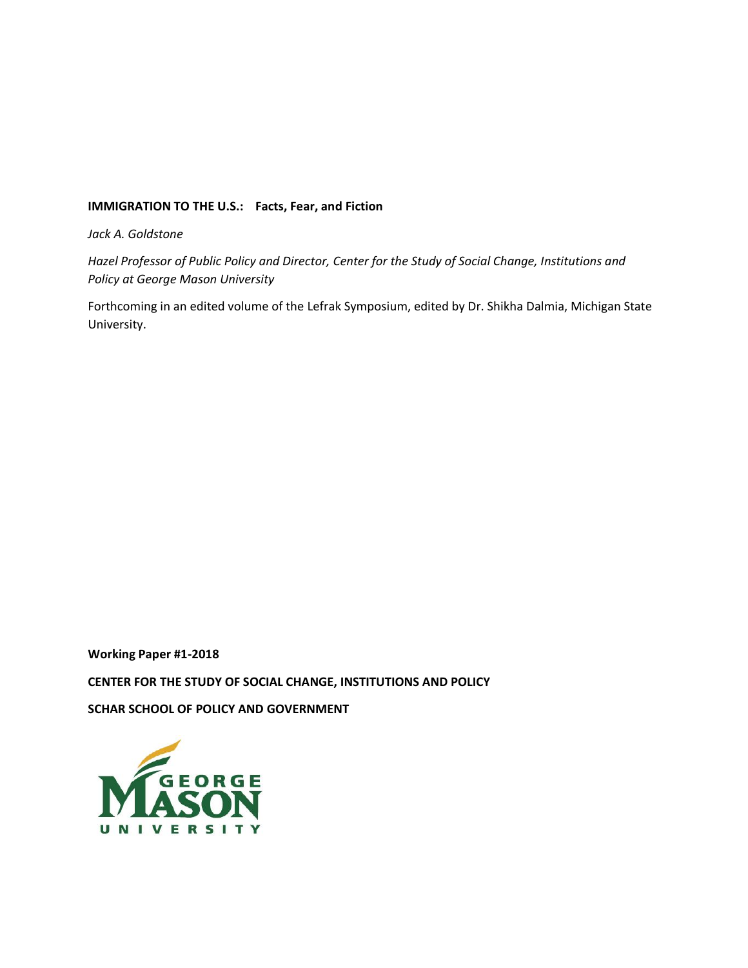# **IMMIGRATION TO THE U.S.: Facts, Fear, and Fiction**

*Jack A. Goldstone*

*Hazel Professor of Public Policy and Director, Center for the Study of Social Change, Institutions and Policy at George Mason University*

Forthcoming in an edited volume of the Lefrak Symposium, edited by Dr. Shikha Dalmia, Michigan State University.

**Working Paper #1-2018 CENTER FOR THE STUDY OF SOCIAL CHANGE, INSTITUTIONS AND POLICY**

**SCHAR SCHOOL OF POLICY AND GOVERNMENT**

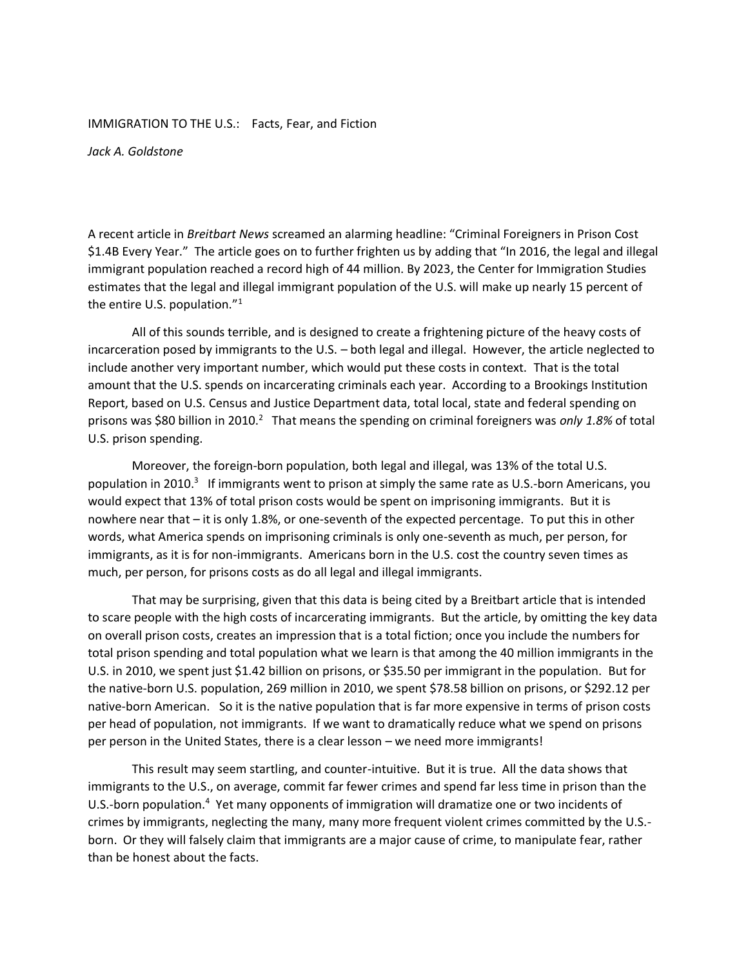### IMMIGRATION TO THE U.S.: Facts, Fear, and Fiction

*Jack A. Goldstone*

A recent article in *Breitbart News* screamed an alarming headline: "Criminal Foreigners in Prison Cost \$1.4B Every Year." The article goes on to further frighten us by adding that "In 2016, the legal and illegal immigrant population reached a record high of 44 million. By 2023, the Center for Immigration Studies estimates that the legal and illegal immigrant population of the U.S. will make up nearly 15 percent of the entire U.S. population."<sup>1</sup>

All of this sounds terrible, and is designed to create a frightening picture of the heavy costs of incarceration posed by immigrants to the U.S. – both legal and illegal. However, the article neglected to include another very important number, which would put these costs in context. That is the total amount that the U.S. spends on incarcerating criminals each year. According to a Brookings Institution Report, based on U.S. Census and Justice Department data, total local, state and federal spending on prisons was \$80 billion in 2010.<sup>2</sup> That means the spending on criminal foreigners was *only 1.8%* of total U.S. prison spending.

Moreover, the foreign-born population, both legal and illegal, was 13% of the total U.S. population in 2010.<sup>3</sup> If immigrants went to prison at simply the same rate as U.S.-born Americans, you would expect that 13% of total prison costs would be spent on imprisoning immigrants. But it is nowhere near that – it is only 1.8%, or one-seventh of the expected percentage. To put this in other words, what America spends on imprisoning criminals is only one-seventh as much, per person, for immigrants, as it is for non-immigrants. Americans born in the U.S. cost the country seven times as much, per person, for prisons costs as do all legal and illegal immigrants.

That may be surprising, given that this data is being cited by a Breitbart article that is intended to scare people with the high costs of incarcerating immigrants. But the article, by omitting the key data on overall prison costs, creates an impression that is a total fiction; once you include the numbers for total prison spending and total population what we learn is that among the 40 million immigrants in the U.S. in 2010, we spent just \$1.42 billion on prisons, or \$35.50 per immigrant in the population. But for the native-born U.S. population, 269 million in 2010, we spent \$78.58 billion on prisons, or \$292.12 per native-born American. So it is the native population that is far more expensive in terms of prison costs per head of population, not immigrants. If we want to dramatically reduce what we spend on prisons per person in the United States, there is a clear lesson – we need more immigrants!

This result may seem startling, and counter-intuitive. But it is true. All the data shows that immigrants to the U.S., on average, [commit far fewer crimes and spend far less time in prison than the](https://www.cato.org/publications/immigration-research-policy-brief/their-numbers-demographics-countries-origin)  [U.S.-born population.](https://www.cato.org/publications/immigration-research-policy-brief/their-numbers-demographics-countries-origin)<sup>4</sup> Yet many opponents of immigration will dramatize one or two incidents of crimes by immigrants, neglecting the many, many more frequent violent crimes committed by the U.S. born. Or they will falsely claim that immigrants are a major cause of crime, to manipulate fear, rather than be honest about the facts.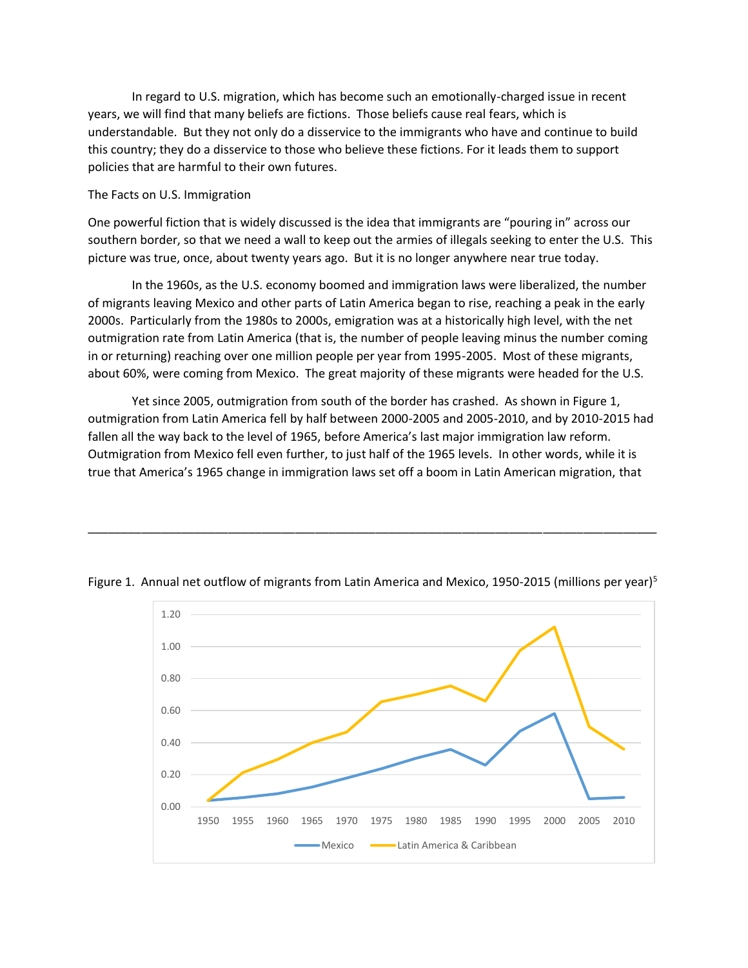In regard to U.S. migration, which has become such an emotionally-charged issue in recent years, we will find that many beliefs are fictions. Those beliefs cause real fears, which is understandable. But they not only do a disservice to the immigrants who have and continue to build this country; they do a disservice to those who believe these fictions. For it leads them to support policies that are harmful to their own futures.

## The Facts on U.S. Immigration

One powerful fiction that is widely discussed is the idea that immigrants are "pouring in" across our southern border, so that we need a wall to keep out the armies of illegals seeking to enter the U.S. This picture was true, once, about twenty years ago. But it is no longer anywhere near true today.

In the 1960s, as the U.S. economy boomed and immigration laws were liberalized, the number of migrants leaving Mexico and other parts of Latin America began to rise, reaching a peak in the early 2000s. Particularly from the 1980s to 2000s, emigration was at a historically high level, with the net outmigration rate from Latin America (that is, the number of people leaving minus the number coming in or returning) reaching over one million people per year from 1995-2005. Most of these migrants, about 60%, were coming from Mexico. The great majority of these migrants were headed for the U.S.

Yet since 2005, outmigration from south of the border has crashed. As shown in Figure 1, outmigration from Latin America fell by half between 2000-2005 and 2005-2010, and by 2010-2015 had [fallen all the way back to the level of 1965,](https://esa.un.org/unpd/wpp/Download/Standard/Migration/) before America's last major immigration law reform. Outmigration from Mexico fell even further, to just half of the 1965 levels. In other words, while it is true that America's 1965 change in immigration laws set off a boom in Latin American migration, that



Figure 1. Annual net outflow of migrants from Latin America and Mexico, 1950-2015 (millions per year)<sup>5</sup>

\_\_\_\_\_\_\_\_\_\_\_\_\_\_\_\_\_\_\_\_\_\_\_\_\_\_\_\_\_\_\_\_\_\_\_\_\_\_\_\_\_\_\_\_\_\_\_\_\_\_\_\_\_\_\_\_\_\_\_\_\_\_\_\_\_\_\_\_\_\_\_\_\_\_\_\_\_\_\_\_\_\_\_\_\_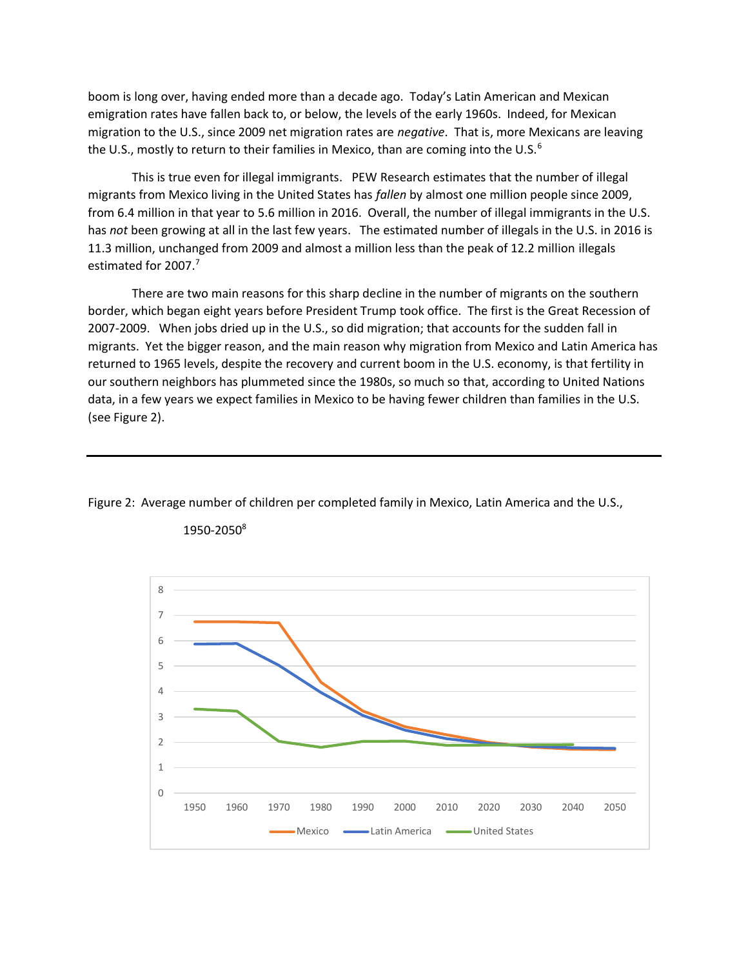boom is long over, having ended more than a decade ago. Today's Latin American and Mexican emigration rates have fallen back to, or below, the levels of the early 1960s. Indeed, for Mexican migration to the U.S., since 2009 net migration rates are *negative*. [That is, more Mexicans](http://www.pewhispanic.org/2015/11/19/more-mexicans-leaving-than-coming-to-the-u-s/#tweets) are leaving [the U.S., mostly to return to their families in Mexico, than are coming into the U.S.](http://www.pewhispanic.org/2015/11/19/more-mexicans-leaving-than-coming-to-the-u-s/#tweets) $<sup>6</sup>$ </sup>

This is true even for illegal immigrants. PEW Research estimates that the number of illegal migrants from Mexico living in the United States has *fallen* by almost [one million](http://www.pewresearch.org/fact-tank/2017/04/27/5-facts-about-illegal-immigration-in-the-u-s/) people since 2009, from 6.4 million in that year to 5.6 million in 2016. Overall, the number of illegal immigrants in the U.S. has *not* been growing at all in the last few years. The estimated number of illegals in the U.S. in 2016 is 11.3 million[, unchanged from 2009 and almost a million less than the peak of 12.2 million](http://www.pewresearch.org/fact-tank/2017/04/27/5-facts-about-illegal-immigration-in-the-u-s/) illegals estimated for 2007.<sup>7</sup>

There are two main reasons for this sharp decline in the number of migrants on the southern border, which began eight years before President Trump took office. The first is the Great Recession of 2007-2009. When jobs dried up in the U.S., so did migration; that accounts for the sudden fall in migrants. Yet the bigger reason, and the main reason why migration from Mexico and Latin America has returned to 1965 levels, despite the recovery and current boom in the U.S. economy, is that fertility in our southern neighbors has plummeted since the 1980s, so much so [that, according to United Nations](https://esa.un.org/unpd/wpp/Download/Standard/Fertility/)  data, [in a few years we expect families in Mexico to be having](https://esa.un.org/unpd/wpp/Download/Standard/Fertility/) fewer children than families in the U.S. (see Figure 2).



# Figure 2: Average number of children per completed family in Mexico, Latin America and the U.S.,

1950-2050<sup>8</sup>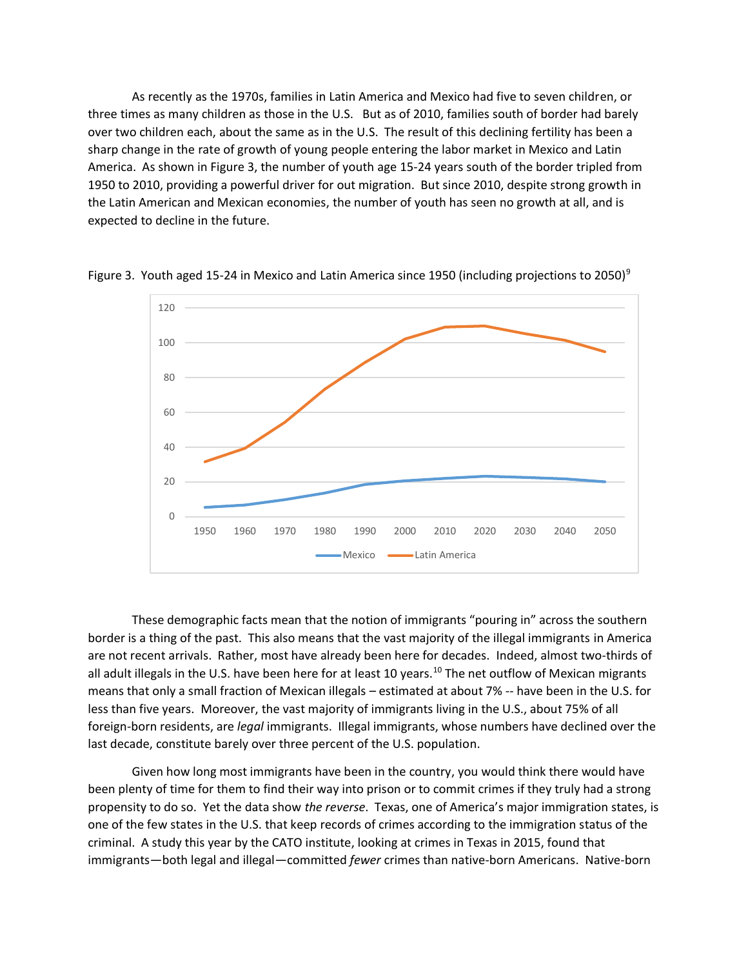As recently as the 1970s, families in Latin America and Mexico had five to seven children, or three times as many children as those in the U.S. But as of 2010, families south of border had barely over two children each, about the same as in the U.S. The result of this declining fertility has been a sharp change in the rate of growth of young people entering the labor market in Mexico and Latin America. As shown in Figure 3, the number of youth age 15-24 years south of the border tripled from 1950 to 2010, providing a powerful driver for out migration. But since 2010, despite strong growth in the Latin American and Mexican economies, [the number of youth has seen no growth at all, and is](https://esa.un.org/unpd/wpp/Download/Standard/Population/)  [expected to decline in the future.](https://esa.un.org/unpd/wpp/Download/Standard/Population/)



Figure 3. Youth aged 15-24 in Mexico and Latin America since 1950 (including projections to 2050)<sup>9</sup>

These demographic facts mean that the notion of immigrants "pouring in" across the southern border is a thing of the past. This also means that the vast majority of the illegal immigrants in America are not recent arrivals. Rather, most have already been here for decades. Indee[d, almost two-thirds of](http://www.pewresearch.org/fact-tank/2017/04/27/5-facts-about-illegal-immigration-in-the-u-s/)  [all adult illegals in the U.S. have been here for at least 10 years.](http://www.pewresearch.org/fact-tank/2017/04/27/5-facts-about-illegal-immigration-in-the-u-s/)<sup>10</sup> The net outflow of Mexican migrants means that only a small fraction of Mexican illegals – estimated at about 7% -- have been in the U.S. for less than five years. Moreover, the vast majority of immigrants living in the U.S., about 75% of all foreign-born residents, are *legal* immigrants. Illegal immigrants, whose numbers have declined over the last decade, constitute barely over three percent of the U.S. population.

Given how long most immigrants have been in the country, you would think there would have been plenty of time for them to find their way into prison or to commit crimes if they truly had a strong propensity to do so. Yet the data show *the reverse*. Texas, one of America's major immigration states, is one of the few states in the U.S. that keep records of crimes according to the immigration status of the criminal. [A study this year by the CATO institute,](https://www.cato.org/publications/immigration-research-policy-brief/criminal-immigrants-texas-illegal-immigrant) looking at crimes in Texas in 2015, found that immigrants—both legal and illegal—committed *fewer* crimes than native-born Americans. Native-born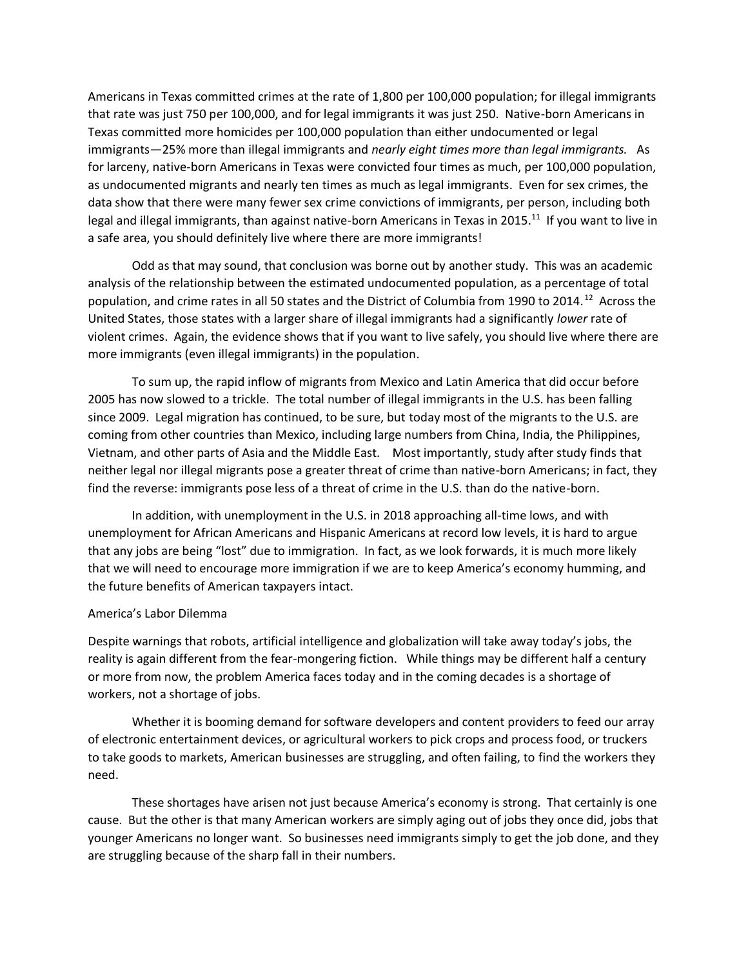Americans in Texas committed crimes at the rate of 1,800 per 100,000 population; for illegal immigrants that rate was just 750 per 100,000, and for legal immigrants it was just 250. Native-born Americans in Texas committed more homicides per 100,000 population than either undocumented or legal immigrants—25% more than illegal immigrants and *nearly eight times more than legal immigrants.* As for larceny, native-born Americans in Texas were convicted four times as much, per 100,000 population, as undocumented migrants and nearly ten times as much as legal immigrants. Even for sex crimes, the data show that there were many fewer sex crime convictions of immigrants, per person, including both legal and illegal immigrants, than against native-born Americans in Texas in 2015.<sup>11</sup> If you want to live in a safe area, you should definitely live where there are more immigrants!

Odd as that may sound, that conclusion was borne out by [another study. T](https://onlinelibrary.wiley.com/doi/full/10.1111/1745-9125.12175)his was an academic analysis of the relationship between the estimated undocumented population, as a percentage of total population, and crime rates in all 50 states and the District of Columbia from 1990 to 2014.<sup>12</sup> Across the United States, those states with a larger share of illegal immigrants had a significantly *lower* rate of violent crimes. Again, the evidence shows that if you want to live safely, you should live where there are more immigrants (even illegal immigrants) in the population.

To sum up, the rapid inflow of migrants from Mexico and Latin America that did occur before 2005 has now slowed to a trickle. The total number of illegal immigrants in the U.S. has been falling since 2009. Legal migration has continued, to be sure, but today most of the migrants to the U.S. are coming from other countries than Mexico, including large numbers from China, India, the Philippines, Vietnam, and other parts of Asia and the Middle East. Most importantly, study after study finds that neither legal nor illegal migrants pose a greater threat of crime than native-born Americans; in fact, they find the reverse: immigrants pose less of a threat of crime in the U.S. than do the native-born.

In addition, with unemployment in the U.S. in 2018 approaching all-time lows, and with unemployment for African Americans and Hispanic Americans at record low levels, it is hard to argue that any jobs are being "lost" due to immigration. In fact, as we look forwards, it is much more likely that we will need to encourage more immigration if we are to keep America's economy humming, and the future benefits of American taxpayers intact.

### America's Labor Dilemma

Despite warnings that robots, artificial intelligence and globalization will take away today's jobs, the reality is again different from the fear-mongering fiction. While things may be different half a century or more from now, the problem America faces today and in the coming decades is a shortage of workers, not a shortage of jobs.

Whether it is booming demand for software developers and content providers to feed our array of electronic entertainment devices, or agricultural workers to pick crops and process food, or truckers to take goods to markets, American businesses are struggling, and often failing, to find the workers they need.

These shortages have arisen not just because America's economy is strong. That certainly is one cause. But the other is that many American workers are simply aging out of jobs they once did, jobs that younger Americans no longer want. So businesses need immigrants simply to get the job done, and they are struggling because of the sharp fall in their numbers.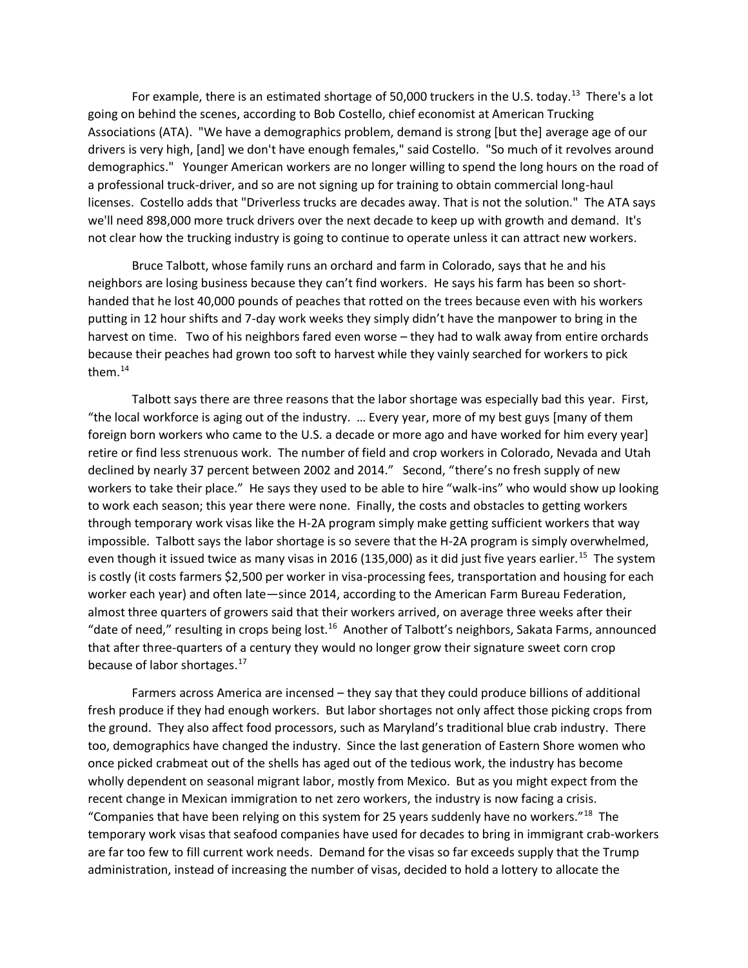For example, there is an [estimated shortage of 50,000 truckers in the U.S. today.](https://www.cnbc.com/2018/05/28/truck-driver-shortage-higher-shipping-costs-amazon-retail.html)<sup>13</sup> There's a lot going on behind the scenes, according to Bob Costello, chief economist at American Trucking Associations (ATA). "We have a demographics problem, demand is strong [but the] average age of our drivers is very high, [and] we don't have enough females," said Costello. "So much of it revolves around demographics." Younger American workers are no longer willing to spend the long hours on the road of a professional truck-driver, and so are not signing up for training to obtain commercial long-haul licenses. Costello adds that "Driverless trucks are decades away. That is not the solution." The ATA says we'll need 898,000 more truck drivers over the next decade to keep up with growth and demand. It's not clear how the trucking industry is going to continue to operate unless it can attract new workers.

Bruce Talbott, whose family runs an orchard and farm in Colorado, says that [he and his](https://www.washingtonpost.com/opinions/our-fruit-is-rotting-in-the-trees-as-laborers-are-kept-out-of-the-country/2018/08/24/bf119ad6-a6e6-11e8-8fac-12e98c13528d_story.html?utm_term=.37ad3e10c929)  [neighbors are losing business because they can't find workers.](https://www.washingtonpost.com/opinions/our-fruit-is-rotting-in-the-trees-as-laborers-are-kept-out-of-the-country/2018/08/24/bf119ad6-a6e6-11e8-8fac-12e98c13528d_story.html?utm_term=.37ad3e10c929) He says his farm has been so shorthanded that he lost 40,000 pounds of peaches that rotted on the trees because even with his workers putting in 12 hour shifts and 7-day work weeks they simply didn't have the manpower to bring in the harvest on time. Two of his neighbors fared even worse – they had to walk away from entire orchards because their peaches had grown too soft to harvest while they vainly searched for workers to pick them.<sup>14</sup>

Talbott says there are three reasons that the labor shortage was especially bad this year. First, "the local workforce is aging out of the industry. … Every year, more of my best guys [many of them foreign born workers who came to the U.S. a decade or more ago and have worked for him every year] retire or find less strenuous work. The number of field and crop workers in Colorado, Nevada and Utah declined by nearly 37 percent between 2002 and 2014." Second, "there's no fresh supply of new workers to take their place." He says they used to be able to hire "walk-ins" who would show up looking to work each season; this year there were none. Finally, the costs and obstacles to getting workers through temporary work visas like the H-2A program simply make getting sufficient workers that way impossible. Talbott says the labor shortage is so severe that the H-2A program is simply overwhelmed, even though it issued twice as many visas in 2016 (135,000) as it did just five years earlier.<sup>15</sup> The system is costly (it costs farmers \$2,500 per worker in visa-processing fees, transportation and housing for each worker each year) and often late—since 2014, [according to the American Farm Bureau Federation,](https://www.fb.org/issues/immigration-reform/agriculture-labor-reform/economic-impact-of-immigration) almost three quarters of growers said that their workers arrived, on average three weeks after their "date of need," resulting in crops being lost.<sup>16</sup> Another of Talbott's neighbors, Sakata Farms, announced that after three-quarters of a century they would no longer grow their signature sweet corn crop because of labor shortages.<sup>17</sup>

Farmers across America are incensed – they say that they could produce billions of additional fresh produce if they had enough workers. But labor shortages not only affect those picking crops from the ground. They also affect food processors, such as Maryland's traditional blue crab industry. There too, demographics have changed the industry. Since the last generation of Eastern Shore women who once picked crabmeat out of the shells has aged out of the tedious work, the industry has become wholly dependent on seasonal migrant labor, mostly from Mexico. But as you might expect from the recent change in Mexican immigration to net zero workers, [the industry is now facing a crisis.](http://www.baltimoresun.com/news/maryland/bs-md-crab-visa-shortage-20180502-story.html) "Companies that have been relying on this system for 25 years suddenly have no workers."<sup>18</sup> The temporary work visas that seafood companies have used for decades to bring in immigrant crab-workers are far too few to fill current work needs. Demand for the visas so far exceeds supply that the Trump administration, instead of increasing the number of visas, decided to hold a lottery to allocate the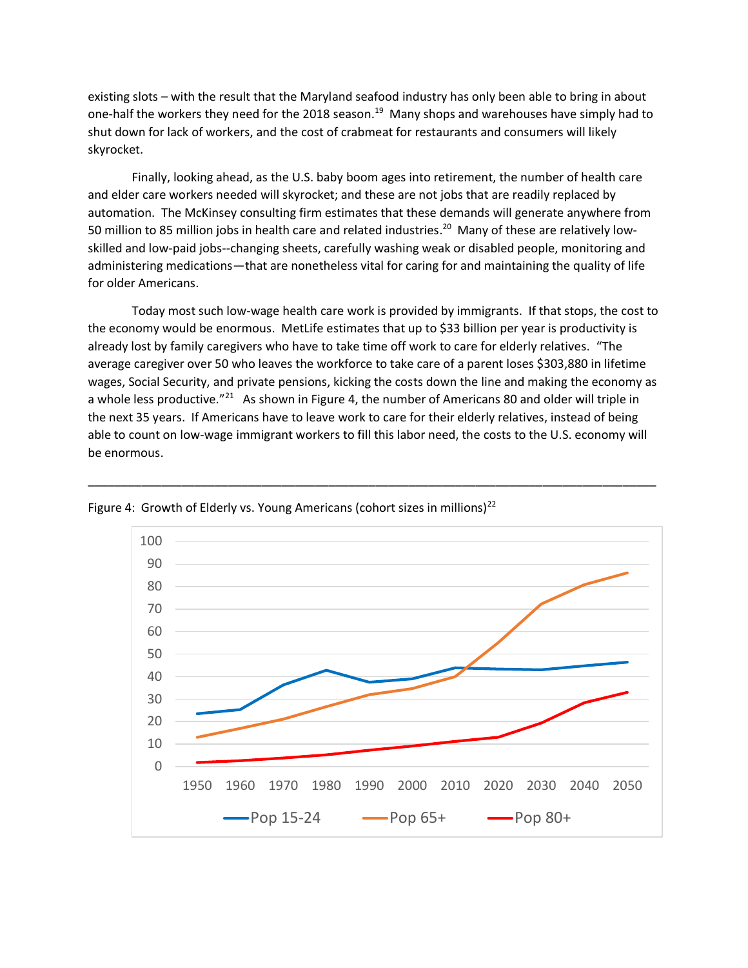existing slots – with the result that the Maryland seafood [industry has only been able to bring in about](https://www.usatoday.com/story/money/business/2018/05/04/crabmeat-producers-closing-due-lack-workers/582800002/)  [one-half the workers they need for the 2018 season.](https://www.usatoday.com/story/money/business/2018/05/04/crabmeat-producers-closing-due-lack-workers/582800002/)<sup>19</sup> Many shops and warehouses have simply had to shut down for lack of workers, and the cost of crabmeat for restaurants and consumers will likely skyrocket.

Finally, looking ahead, as the U.S. baby boom ages into retirement, the number of health care and elder care workers needed will skyrocket; and these are not jobs that are readily replaced by automation. The McKinsey consulting firm estimates that these demands [will generate anywhere from](https://www.mckinsey.com/featured-insights/future-of-organizations-and-work/jobs-lost-jobs-gained-what-the-future-of-work-will-mean-for-jobs-skills-and-wages)  [50 million to 85 million jobs in health care and related industries.](https://www.mckinsey.com/featured-insights/future-of-organizations-and-work/jobs-lost-jobs-gained-what-the-future-of-work-will-mean-for-jobs-skills-and-wages)<sup>20</sup> Many of these are relatively lowskilled and low-paid jobs--changing sheets, carefully washing weak or disabled people, monitoring and administering medications—that are nonetheless vital for caring for and maintaining the quality of life for older Americans.

Today most such low-wage health care work is provided by immigrants. If that stops, the cost to the economy would be enormous. [MetLife estimates that up to \\$33 billion per year is productivity is](https://foreignpolicy.com/2018/07/16/who-will-care-for-the-carers-automation-health-care-aging-jobs/)  [already lost by family caregivers who have to take time off work to care for elderly relatives.](https://foreignpolicy.com/2018/07/16/who-will-care-for-the-carers-automation-health-care-aging-jobs/) "The average caregiver over 50 who leaves the workforce to take care of a parent loses \$303,880 in lifetime wages, Social Security, and private pensions, kicking the costs down the line and making the economy as a whole less productive."<sup>21</sup> As shown in Figure 4, the number of Americans 80 and older will triple in the next 35 years. If Americans have to leave work to care for their elderly relatives, instead of being able to count on low-wage immigrant workers to fill this labor need, the costs to the U.S. economy will be enormous.

\_\_\_\_\_\_\_\_\_\_\_\_\_\_\_\_\_\_\_\_\_\_\_\_\_\_\_\_\_\_\_\_\_\_\_\_\_\_\_\_\_\_\_\_\_\_\_\_\_\_\_\_\_\_\_\_\_\_\_\_\_\_\_\_\_\_\_\_\_\_\_\_\_\_\_\_\_\_\_\_\_\_\_\_\_



Figure 4: Growth of Elderly vs. Young Americans (cohort sizes in millions)<sup>22</sup>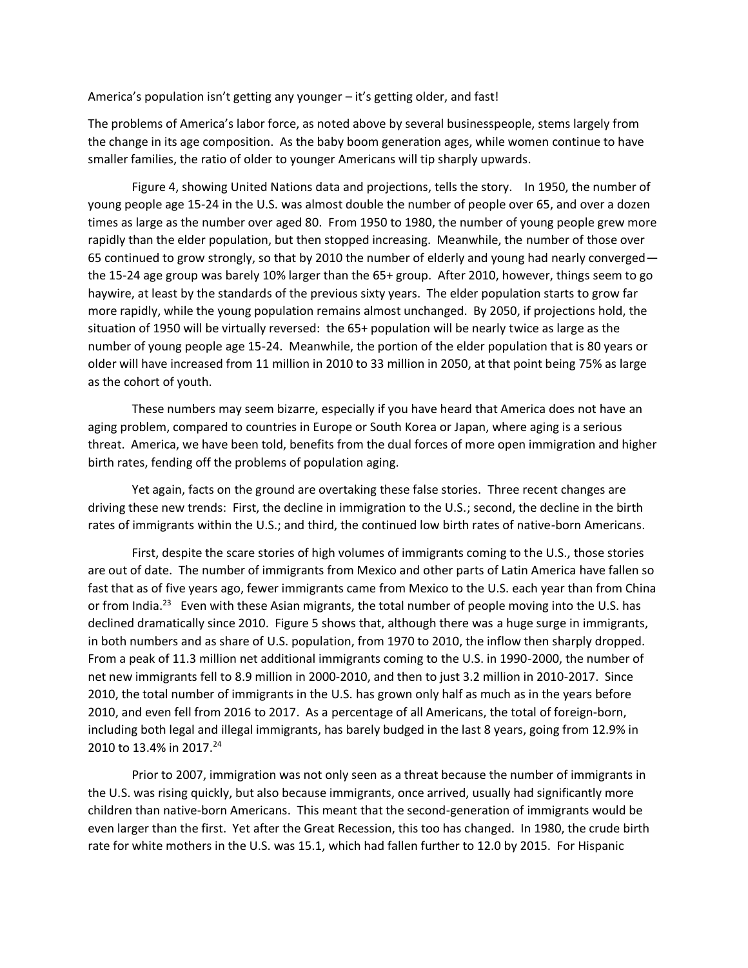America's population isn't getting any younger – it's getting older, and fast!

The problems of America's labor force, as noted above by several businesspeople, stems largely from the change in its age composition. As the baby boom generation ages, while women continue to have smaller families, the ratio of older to younger Americans will tip sharply upwards.

Figure 4, showing [United Nations data and projections,](https://esa.un.org/unpd/wpp/Download/Standard/Population/) tells the story. In 1950, the number of young people age 15-24 in the U.S. was almost double the number of people over 65, and over a dozen times as large as the number over aged 80. From 1950 to 1980, the number of young people grew more rapidly than the elder population, but then stopped increasing. Meanwhile, the number of those over 65 continued to grow strongly, so that by 2010 the number of elderly and young had nearly converged the 15-24 age group was barely 10% larger than the 65+ group. After 2010, however, things seem to go haywire, at least by the standards of the previous sixty years. The elder population starts to grow far more rapidly, while the young population remains almost unchanged. By 2050, if projections hold, the situation of 1950 will be virtually reversed: the 65+ population will be nearly twice as large as the number of young people age 15-24. Meanwhile, the portion of the elder population that is 80 years or older will have increased from 11 million in 2010 to 33 million in 2050, at that point being 75% as large as the cohort of youth.

These numbers may seem bizarre, especially if you have heard that America does not have an aging problem, compared to countries in Europe or South Korea or Japan, where aging is a serious threat. America, we have been told, benefits from the dual forces of more open immigration and higher birth rates, fending off the problems of population aging.

Yet again, facts on the ground are overtaking these false stories. Three recent changes are driving these new trends: First, the decline in immigration to the U.S.; second, the decline in the birth rates of immigrants within the U.S.; and third, the continued low birth rates of native-born Americans.

First, despite the scare stories of high volumes of immigrants coming to the U.S., those stories are out of date. The number of immigrants from Mexico and other parts of Latin America have fallen so fast that [as of five years ago, fewer immigrants came from Mexico to the U.S. each year than from China](https://www.migrationpolicy.org/article/historic-shift-new-migration-flows-mexico-fall-below-those-china-and-india)  [or from India.](https://www.migrationpolicy.org/article/historic-shift-new-migration-flows-mexico-fall-below-those-china-and-india)<sup>23</sup> Even with these Asian migrants, the total number of people moving into the U.S. has declined dramatically since 2010. Figure 5 shows that, although there was a huge surge in immigrants, in both numbers and as share of U.S. population, from 1970 to 2010, the inflow then sharply dropped. From a peak of 11.3 million net additional immigrants coming to the U.S. in 1990-2000, the number of net new immigrants fell to 8.9 million in 2000-2010, and then to just 3.2 million in 2010-2017. Since 2010, the total number of immigrants in the U.S. has [grown only half as much as in the years before](https://www.migrationpolicy.org/article/frequently-requested-statistics-immigrants-and-immigration-united-states#Numbers)  [2010,](https://www.migrationpolicy.org/article/frequently-requested-statistics-immigrants-and-immigration-united-states#Numbers) and [even fell from 2016 to 2017.](http://www.ncsl.org/research/immigration/snapshot-of-u-s-immigration-2017.aspx#1) As a percentage of all Americans, the total of foreign-born, including both legal and illegal immigrants, has barely budged in the last 8 years, going from 12.9% in 2010 to 13.4% in 2017.<sup>24</sup>

Prior to 2007, immigration was not only seen as a threat because the number of immigrants in the U.S. was rising quickly, but also because immigrants, once arrived, usually had significantly more children than native-born Americans. This meant that the second-generation of immigrants would be even larger than the first. Yet after the Great Recession, this too has changed. In 1980, the crude birth rate for white mothers in the U.S. was 15.1, which had fallen further to 12.0 by 2015. For Hispanic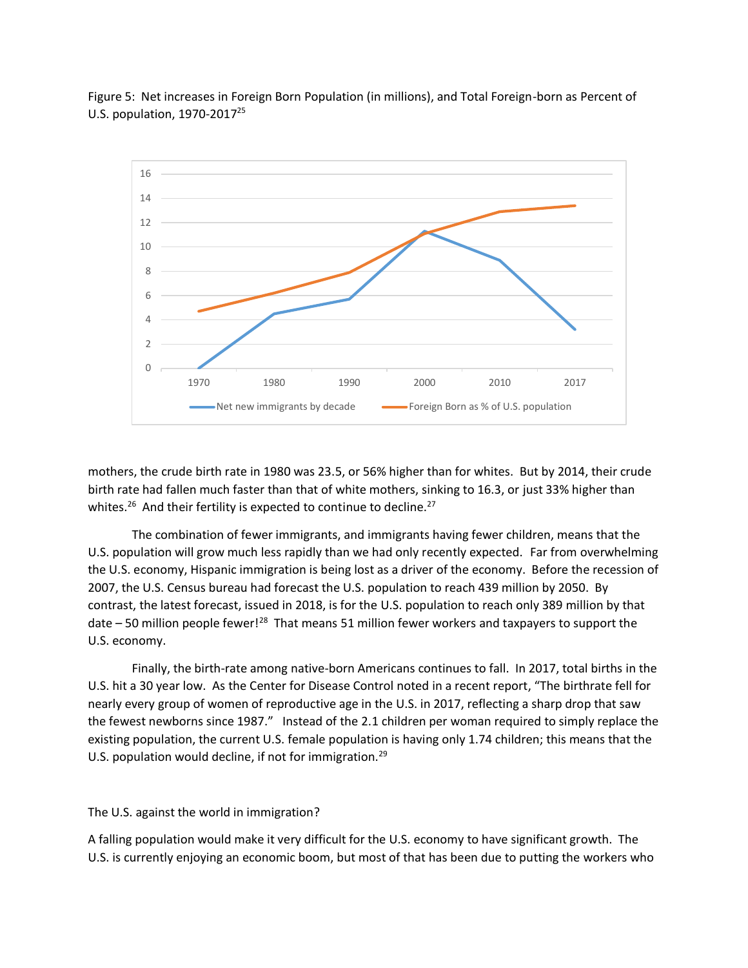

Figure 5: Net increases in Foreign Born Population (in millions), and Total Foreign-born as Percent of U.S. population, 1970-2017<sup>25</sup>

mothers, the crude birth rate in 1980 was 23.5, or 56% higher than for whites. But by 2014, their crude birth rate had fallen much faster than that of white mothers, sinking to 16.3, or [just 33% higher than](https://www.cdc.gov/nchs/data/hus/2016/003.pdf)  [whites.](https://www.cdc.gov/nchs/data/hus/2016/003.pdf) $^{26}$  [And their fertility is expected to continue to decline.](http://www.pewhispanic.org/2015/09/28/modern-immigration-wave-brings-59-million-to-u-s-driving-population-growth-and-change-through-2065/9-26-2015-1-30-23-pm-2/) $^{27}$ 

The combination of fewer immigrants, and immigrants having fewer children, means that the U.S. population will grow much less rapidly than we had only recently expected. Far from overwhelming the U.S. economy, Hispanic immigration is being lost as a driver of the economy. Before the recession of 2007, the U.S. Census bureau had forecast the U.S. population to reach 439 million by 2050. By contrast, the latest forecast, issued in 2018, is for the [U.S. population to reach only 389](https://www.census.gov/content/dam/Census/library/publications/2018/demo/P25_1144.pdf) million by that date  $-50$  million people fewer!<sup>28</sup> That means 51 million fewer workers and taxpayers to support the U.S. economy.

Finally, the birth-rate among native-born Americans continues to fall. In 2017, total births in the U.S. hit a 30 year low. As [the Center for Disease Control noted in a recent report](https://www.npr.org/sections/thetwo-way/2018/05/17/611898421/u-s-births-falls-to-30-year-low-sending-fertility-rate-to-a-record-low), "The birthrate fell for nearly every group of women of reproductive age in the U.S. in 2017, reflecting a sharp drop that saw the fewest newborns since 1987." Instead of the 2.1 children per woman required to simply replace the existing population, the current U.S. female population is having only 1.74 children; this means that the U.S. population would decline, if not for immigration.<sup>29</sup>

### The U.S. against the world in immigration?

A falling population would make it very difficult for the U.S. economy to have significant growth. The U.S. is currently enjoying an economic boom, but most of that has been due to putting the workers who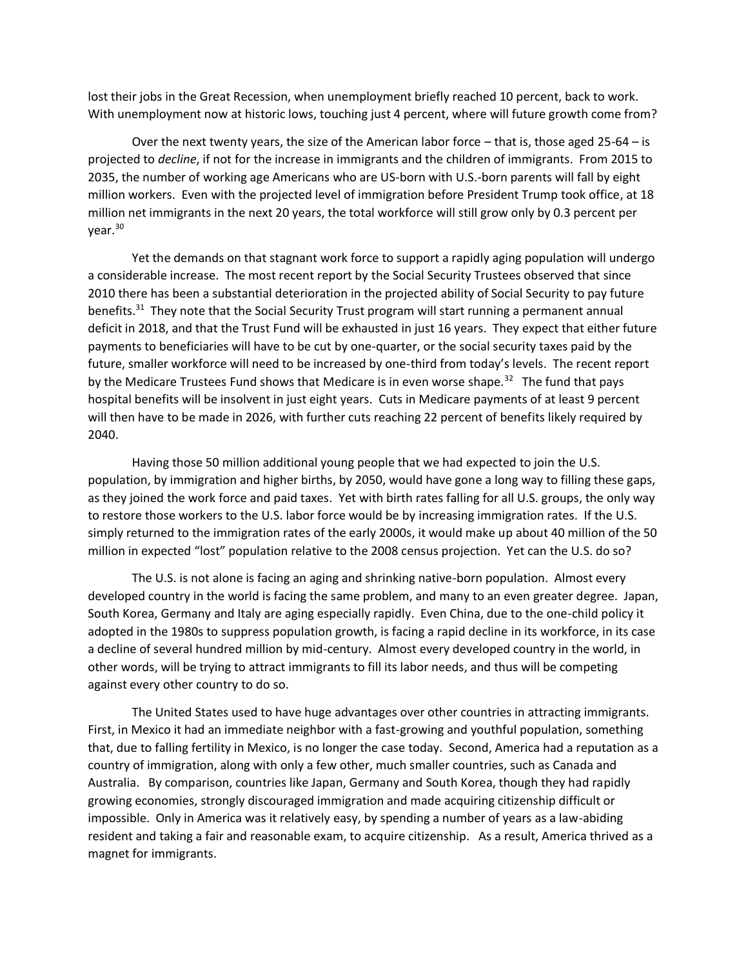lost their jobs in the Great Recession, when unemployment briefly reached 10 percent, back to work. With unemployment now at historic lows, touching just 4 percent, where will future growth come from?

Over the next twenty years, the size of the American labor force – that is, those aged 25-64 – is projected to *decline*, if not for the increase in immigrants and the children of immigrants. From 2015 to 2035, the number of working age Americans who are US-born with U.S.-born parent[s will fall by eight](http://www.pewresearch.org/fact-tank/2017/03/08/immigration-projected-to-drive-growth-in-u-s-working-age-population-through-at-least-2035/ft_17-02-27_workforcegen_without_immigrants/)  [million workers.](http://www.pewresearch.org/fact-tank/2017/03/08/immigration-projected-to-drive-growth-in-u-s-working-age-population-through-at-least-2035/ft_17-02-27_workforcegen_without_immigrants/) Even with the projected level of immigration before President Trump took office, at 18 million net immigrants in the next 20 years, the total workforce will still grow only by 0.3 percent per year.<sup>30</sup>

Yet the demands on that stagnant work force to support a rapidly aging population will undergo a considerable increase. The most recent report by the Social Security Trustees observed that [since](http://www.crfb.org/papers/analysis-2018-social-security-trustees-report)  [2010 there has been a substantial deterioration in the projected ability of Social Security to pay future](http://www.crfb.org/papers/analysis-2018-social-security-trustees-report)  [benefits.](http://www.crfb.org/papers/analysis-2018-social-security-trustees-report)<sup>31</sup> They note that the Social Security Trust program will start running a permanent annual deficit in 2018, and that the Trust Fund will be exhausted in just 16 years. They expect that either future payments to beneficiaries will have to be cut by one-quarter, or the social security taxes paid by the future, smaller workforce will need to be increased by one-third from today's levels. The recent report by the Medicare Trustees Fund shows that [Medicare is in even worse shape.](http://www.crfb.org/papers/analysis-2018-medicare-trustees-report)<sup>32</sup> The fund that pays hospital benefits will be insolvent in just eight years. Cuts in Medicare payments of at least 9 percent will then have to be made in 2026, with further cuts reaching 22 percent of benefits likely required by 2040.

Having those 50 million additional young people that we had expected to join the U.S. population, by immigration and higher births, by 2050, would have gone a long way to filling these gaps, as they joined the work force and paid taxes. Yet with birth rates falling for all U.S. groups, the only way to restore those workers to the U.S. labor force would be by increasing immigration rates. If the U.S. simply returned to the immigration rates of the early 2000s, it would make up about 40 million of the 50 million in expected "lost" population relative to the 2008 census projection. Yet can the U.S. do so?

The U.S. is not alone is facing an aging and shrinking native-born population. Almost every developed country in the world is facing the same problem, and many to an even greater degree. Japan, South Korea, Germany and Italy are aging especially rapidly. Even China, due to the one-child policy it adopted in the 1980s to suppress population growth, is facing a rapid decline in its workforce, in its case a decline of several hundred million by mid-century. Almost every developed country in the world, in other words, will be trying to attract immigrants to fill its labor needs, and thus will be competing against every other country to do so.

The United States used to have huge advantages over other countries in attracting immigrants. First, in Mexico it had an immediate neighbor with a fast-growing and youthful population, something that, due to falling fertility in Mexico, is no longer the case today. Second, America had a reputation as a country of immigration, along with only a few other, much smaller countries, such as Canada and Australia. By comparison, countries like Japan, Germany and South Korea, though they had rapidly growing economies, strongly discouraged immigration and made acquiring citizenship difficult or impossible. Only in America was it relatively easy, by spending a number of years as a law-abiding resident and taking a fair and reasonable exam, to acquire citizenship. As a result, America thrived as a magnet for immigrants.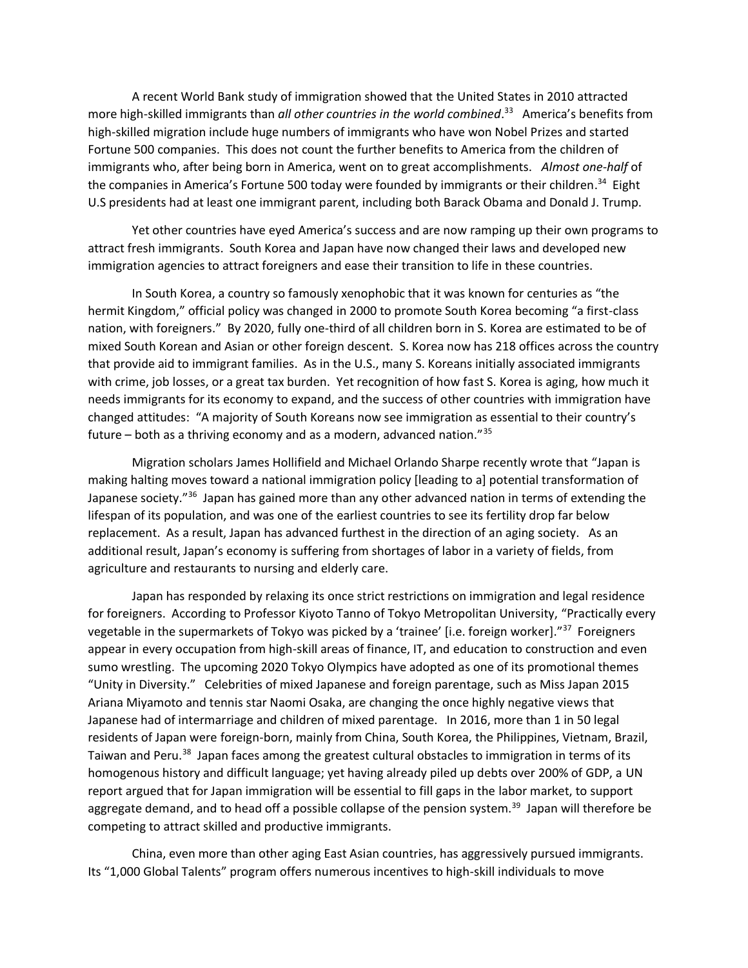A recent World Bank study of immigration showed that the United States in 2010 attracted more high-skilled immigrants than *[all other countries in the world combined](https://www.washingtonpost.com/news/wonk/wp/2018/06/20/how-the-u-s-cornered-the-market-for-skilled-immigrants/?utm_term=.edda67a25273)*. 33 America's benefits from high-skilled migration include huge numbers of immigrants who have won Nobel Prizes and started Fortune 500 companies. This does not count the further benefits to America from the children of immigrants who, after being born in America, went on to great accomplishments. *[Almost one-half](https://www.brookings.edu/blog/the-avenue/2017/12/04/almost-half-of-fortune-500-companies-were-founded-by-american-immigrants-or-their-children/)* of [the companies in America's Fortune 500 today were founded by immigrants or their children](https://www.brookings.edu/blog/the-avenue/2017/12/04/almost-half-of-fortune-500-companies-were-founded-by-american-immigrants-or-their-children/).<sup>34</sup> Eight U.S presidents had at least one immigrant parent, including both Barack Obama and Donald J. Trump.

Yet other countries have eyed America's success and are now ramping up their own programs to attract fresh immigrants. South Korea and Japan have now changed their laws and developed new immigration agencies to attract foreigners and ease their transition to life in these countries.

In South Korea, a country so famously xenophobic that it was known for centuries as "the hermit Kingdom," [official policy was changed in 2000 to promote South Korea becoming "a first](https://foreignpolicy.com/2018/07/16/south-koreans-learn-to-love-the-other-multiculturalism/)-class [nation, with foreigners.](https://foreignpolicy.com/2018/07/16/south-koreans-learn-to-love-the-other-multiculturalism/)" By 2020, fully one-third of all children born in S. Korea are estimated to be of mixed South Korean and Asian or other foreign descent. S. Korea now has 218 offices across the country that provide aid to immigrant families. As in the U.S., many S. Koreans initially associated immigrants with crime, job losses, or a great tax burden. Yet recognition of how fast S. Korea is aging, how much it needs immigrants for its economy to expand, and the success of other countries with immigration have [changed attitudes:](https://foreignpolicy.com/2018/07/16/south-koreans-learn-to-love-the-other-multiculturalism/) "A majority of South Koreans now see immigration as essential to their country's future – both as a thriving economy and as a modern, advanced nation." $35$ 

Migration [scholars James Hollifield and Michael Orlando Sharpe recently wrote that](https://academic.oup.com/irap/article-abstract/17/3/371/4168775?redirectedFrom=fulltext) "Japan is making halting moves toward a national immigration policy [leading to a] potential transformation of Japanese society."<sup>36</sup> Japan has gained more than any other advanced nation in terms of extending the lifespan of its population, and was one of the earliest countries to see its fertility drop far below replacement. As a result, Japan has advanced furthest in the direction of an aging society. As an additional result, Japan's economy is suffering from shortages of labor in a variety of fields, from agriculture and restaurants to nursing and elderly care.

Japan has responded by relaxing its once strict restrictions on immigration and legal residence for foreigners. According [to Professor Kiyoto Tanno of Tokyo Metropolitan University,](https://academic.oup.com/irap/article-abstract/17/3/371/4168775?redirectedFrom=fulltext) "Practically every vegetable in the supermarkets of Tokyo was picked by a 'trainee' [i.e. foreign worker]."<sup>37</sup> Foreigners appear in every occupation from high-skill areas of finance, IT, and education to construction and even sumo wrestling. The upcoming 2020 Tokyo Olympics have adopted as one of its promotional themes "Unity in Diversity." Celebrities of mixed Japanese and foreign parentage, such as Miss Japan 2015 Ariana Miyamoto and tennis star Naomi Osaka, are changing the once highly negative views that Japanese had of intermarriage and children of mixed parentage. In 2016, more than 1 in 50 legal residents of Japan were foreign-born, mainly from China, South Korea, the Philippines, Vietnam, Brazil, Taiwan and Peru.<sup>38</sup> Japan faces among the greatest cultural obstacles to immigration in terms of its homogenous history and difficult language; yet having already piled up debts over 200% of GDP, a [UN](http://www.un.org/esa/population/publications/migration/migration.htm)  [report](http://www.un.org/esa/population/publications/migration/migration.htm) argued that for Japan immigration will be essential to fill gaps in the labor market, to support aggregate demand, and to head off a possible collapse of the pension system.<sup>39</sup> Japan will therefore be competing to attract skilled and productive immigrants.

China, even more than other aging East Asian countries, has aggressively pursued immigrants. Its ["1,000 Global Talents" program](http://www.1000plan.org/en/) offers numerous incentives to high-skill individuals to move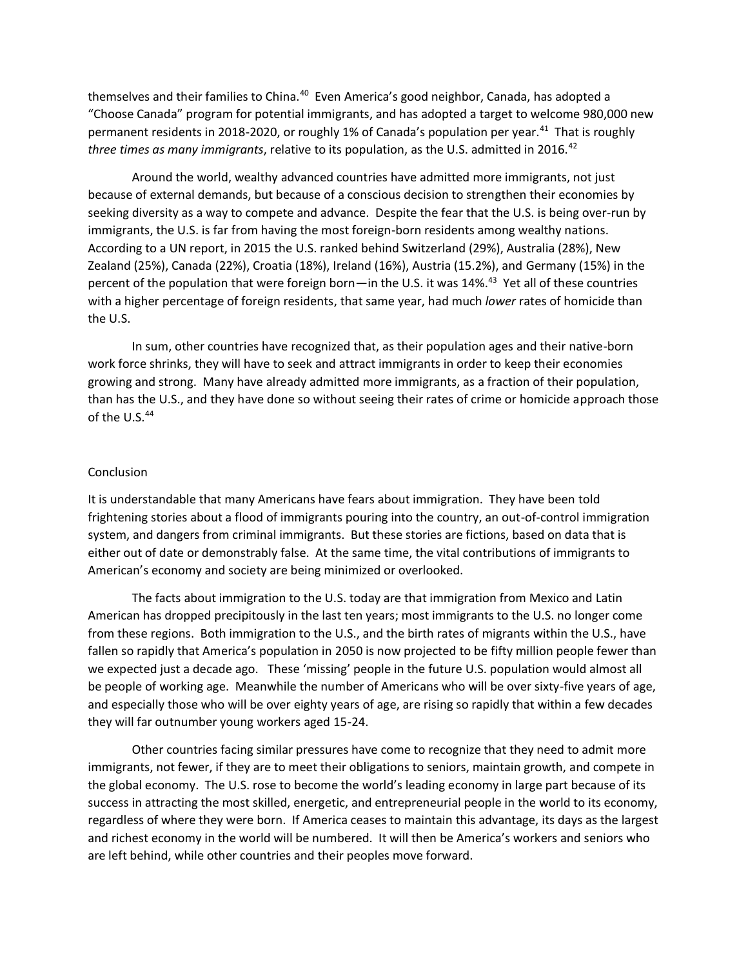themselves and their families to China.<sup>40</sup> Even America's good neighbor, Canada, has adopted a ["Choose Canada"](https://www.canada.ca/en/immigration-refugees-citizenship/campaigns/choose-canada.html) program for potential immigrants, and has adopted a target [to welcome 980,000 new](https://moving2canada.com/canada-immigration-plan/)  [permanent residents in 2018-2020](https://moving2canada.com/canada-immigration-plan/), or roughly 1% of Canada's population per year.<sup>41</sup> That is roughly *three times as many immigrants*, relative to its population, [as the U.S. admitted in 2016.](https://www.dhs.gov/immigration-statistics/yearbook/2016/table7)<sup>42</sup>

Around the world, wealthy advanced countries have admitted more immigrants, not just because of external demands, but because of a conscious decision to strengthen their economies by seeking diversity as a way to compete and advance. Despite the fear that the U.S. is being over-run by immigrants, the U.S. is far from having the most foreign-born residents among wealthy nations. According [to a UN report,](https://www.un.org/en/development/desa/population/migration/data/estimates2/estimates15.shtml) in 2015 the U.S. ranked behind Switzerland (29%), Australia (28%), New Zealand (25%), Canada (22%), Croatia (18%), Ireland (16%), Austria (15.2%), and Germany (15%) in the percent of the population that were foreign born—in the U.S. it was 14%. 43 Yet all of these countries with a higher percentage of foreign residents, that same year, had much *lower* [rates of homicide than](https://data.worldbank.org/indicator/Vc.ihr.PSrc.P5?year_high_desc=true)  [the U.S.](https://data.worldbank.org/indicator/Vc.ihr.PSrc.P5?year_high_desc=true)

In sum, other countries have recognized that, as their population ages and their native-born work force shrinks, they will have to seek and attract immigrants in order to keep their economies growing and strong. Many have already admitted more immigrants, as a fraction of their population, than has the U.S., and they have done so without seeing their rates of crime or homicide approach those of the U.S.<sup>44</sup>

## **Conclusion**

It is understandable that many Americans have fears about immigration. They have been told frightening stories about a flood of immigrants pouring into the country, an out-of-control immigration system, and dangers from criminal immigrants. But these stories are fictions, based on data that is either out of date or demonstrably false. At the same time, the vital contributions of immigrants to American's economy and society are being minimized or overlooked.

The facts about immigration to the U.S. today are that immigration from Mexico and Latin American has dropped precipitously in the last ten years; most immigrants to the U.S. no longer come from these regions. Both immigration to the U.S., and the birth rates of migrants within the U.S., have fallen so rapidly that America's population in 2050 is now projected to be fifty million people fewer than we expected just a decade ago. These 'missing' people in the future U.S. population would almost all be people of working age. Meanwhile the number of Americans who will be over sixty-five years of age, and especially those who will be over eighty years of age, are rising so rapidly that within a few decades they will far outnumber young workers aged 15-24.

Other countries facing similar pressures have come to recognize that they need to admit more immigrants, not fewer, if they are to meet their obligations to seniors, maintain growth, and compete in the global economy. The U.S. rose to become the world's leading economy in large part because of its success in attracting the most skilled, energetic, and entrepreneurial people in the world to its economy, regardless of where they were born. If America ceases to maintain this advantage, its days as the largest and richest economy in the world will be numbered. It will then be America's workers and seniors who are left behind, while other countries and their peoples move forward.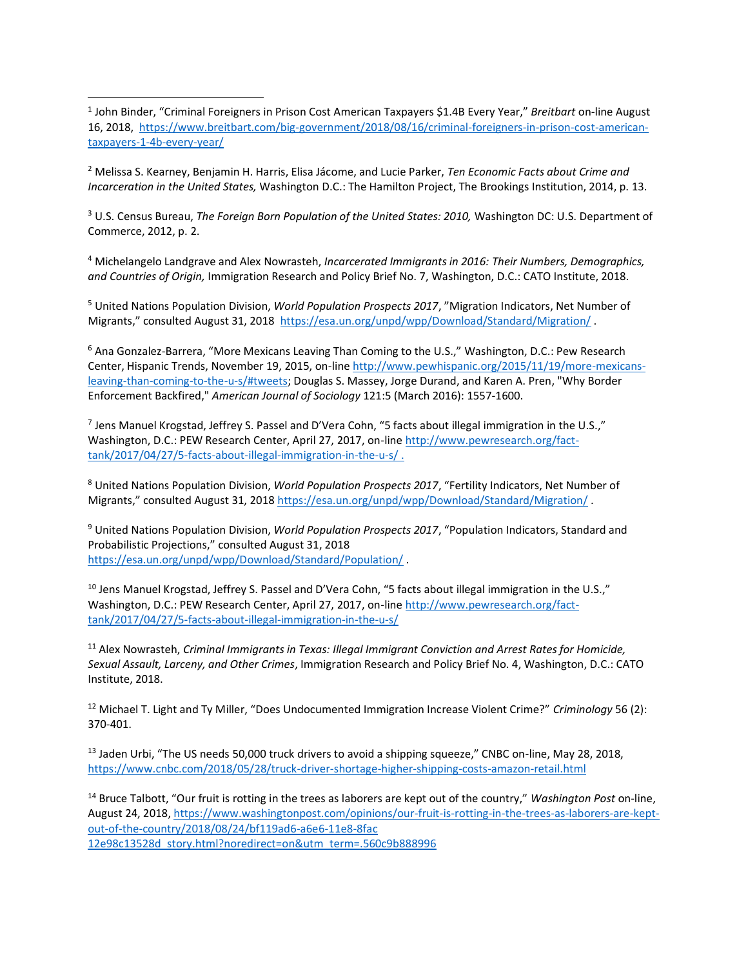l

<sup>2</sup> Melissa S. Kearney, Benjamin H. Harris, Elisa Jácome, and Lucie Parker, *Ten Economic Facts about Crime and Incarceration in the United States,* Washington D.C.: The Hamilton Project, The Brookings Institution, 2014, p. 13.

<sup>3</sup> U.S. Census Bureau, *The Foreign Born Population of the United States: 2010,* Washington DC: U.S. Department of Commerce, 2012, p. 2.

<sup>4</sup> Michelangelo Landgrave and Alex Nowrasteh, *Incarcerated Immigrants in 2016: Their Numbers, Demographics, and Countries of Origin,* Immigration Research and Policy Brief No. 7, Washington, D.C.: CATO Institute, 2018.

<sup>5</sup> United Nations Population Division, *World Population Prospects 2017*, "Migration Indicators, Net Number of Migrants," consulted August 31, 2018 <https://esa.un.org/unpd/wpp/Download/Standard/Migration/>

 $6$  Ana Gonzalez-Barrera, "More Mexicans Leaving Than Coming to the U.S.," Washington, D.C.: Pew Research Center, Hispanic Trends, November 19, 2015, on-line [http://www.pewhispanic.org/2015/11/19/more-mexicans](http://www.pewhispanic.org/2015/11/19/more-mexicans-leaving-than-coming-to-the-u-s/#tweets)[leaving-than-coming-to-the-u-s/#tweets;](http://www.pewhispanic.org/2015/11/19/more-mexicans-leaving-than-coming-to-the-u-s/#tweets) Douglas S. Massey, Jorge Durand, and Karen A. Pren, "Why Border Enforcement Backfired," *American Journal of Sociology* 121:5 (March 2016): 1557-1600.

<sup>7</sup> Jens Manuel Krogstad, Jeffrey S. Passel and D'Vera Cohn, "5 facts about illegal immigration in the U.S.," Washington, D.C.: PEW Research Center, April 27, 2017, on-line [http://www.pewresearch.org/fact](http://www.pewresearch.org/fact-tank/2017/04/27/5-facts-about-illegal-immigration-in-the-u-s/)[tank/2017/04/27/5-facts-about-illegal-immigration-in-the-u-s/](http://www.pewresearch.org/fact-tank/2017/04/27/5-facts-about-illegal-immigration-in-the-u-s/) .

<sup>8</sup> United Nations Population Division, *World Population Prospects 2017*, "Fertility Indicators, Net Number of Migrants," consulted August 31, 2018<https://esa.un.org/unpd/wpp/Download/Standard/Migration/> .

<sup>9</sup> United Nations Population Division, *World Population Prospects 2017*, "Population Indicators, Standard and Probabilistic Projections," consulted August 31, 2018 <https://esa.un.org/unpd/wpp/Download/Standard/Population/> .

<sup>10</sup> Jens Manuel Krogstad, Jeffrey S. Passel and D'Vera Cohn, "5 facts about illegal immigration in the U.S.," Washington, D.C.: PEW Research Center, April 27, 2017, on-line [http://www.pewresearch.org/fact](http://www.pewresearch.org/fact-tank/2017/04/27/5-facts-about-illegal-immigration-in-the-u-s/)[tank/2017/04/27/5-facts-about-illegal-immigration-in-the-u-s/](http://www.pewresearch.org/fact-tank/2017/04/27/5-facts-about-illegal-immigration-in-the-u-s/)

<sup>11</sup> Alex Nowrasteh, *Criminal Immigrants in Texas: Illegal Immigrant Conviction and Arrest Rates for Homicide, Sexual Assault, Larceny, and Other Crimes*, Immigration Research and Policy Brief No. 4, Washington, D.C.: CATO Institute, 2018.

<sup>12</sup> Michael T. Light and Ty Miller, "Does Undocumented Immigration Increase Violent Crime?" *Criminology* 56 (2): 370-401.

<sup>13</sup> Jaden Urbi, "The US needs 50,000 truck drivers to avoid a shipping squeeze," CNBC on-line, May 28, 2018, <https://www.cnbc.com/2018/05/28/truck-driver-shortage-higher-shipping-costs-amazon-retail.html>

<sup>14</sup> Bruce Talbott, "Our fruit is rotting in the trees as laborers are kept out of the country," *Washington Post* on-line, August 24, 2018[, https://www.washingtonpost.com/opinions/our-fruit-is-rotting-in-the-trees-as-laborers-are-kept](https://www.washingtonpost.com/opinions/our-fruit-is-rotting-in-the-trees-as-laborers-are-kept-out-of-the-country/2018/08/24/bf119ad6-a6e6-11e8-8fac-12e98c13528d_story.html?noredirect=on&utm_term=.560c9b888996)[out-of-the-country/2018/08/24/bf119ad6-a6e6-11e8-8fac](https://www.washingtonpost.com/opinions/our-fruit-is-rotting-in-the-trees-as-laborers-are-kept-out-of-the-country/2018/08/24/bf119ad6-a6e6-11e8-8fac-12e98c13528d_story.html?noredirect=on&utm_term=.560c9b888996)  [12e98c13528d\\_story.html?noredirect=on&utm\\_term=.560c9b888996](https://www.washingtonpost.com/opinions/our-fruit-is-rotting-in-the-trees-as-laborers-are-kept-out-of-the-country/2018/08/24/bf119ad6-a6e6-11e8-8fac-12e98c13528d_story.html?noredirect=on&utm_term=.560c9b888996)

<sup>1</sup> John Binder, "Criminal Foreigners in Prison Cost American Taxpayers \$1.4B Every Year," *Breitbart* on-line August 16, 2018, [https://www.breitbart.com/big-government/2018/08/16/criminal-foreigners-in-prison-cost-american](https://www.breitbart.com/big-government/2018/08/16/criminal-foreigners-in-prison-cost-american-taxpayers-1-4b-every-year/)[taxpayers-1-4b-every-year/](https://www.breitbart.com/big-government/2018/08/16/criminal-foreigners-in-prison-cost-american-taxpayers-1-4b-every-year/)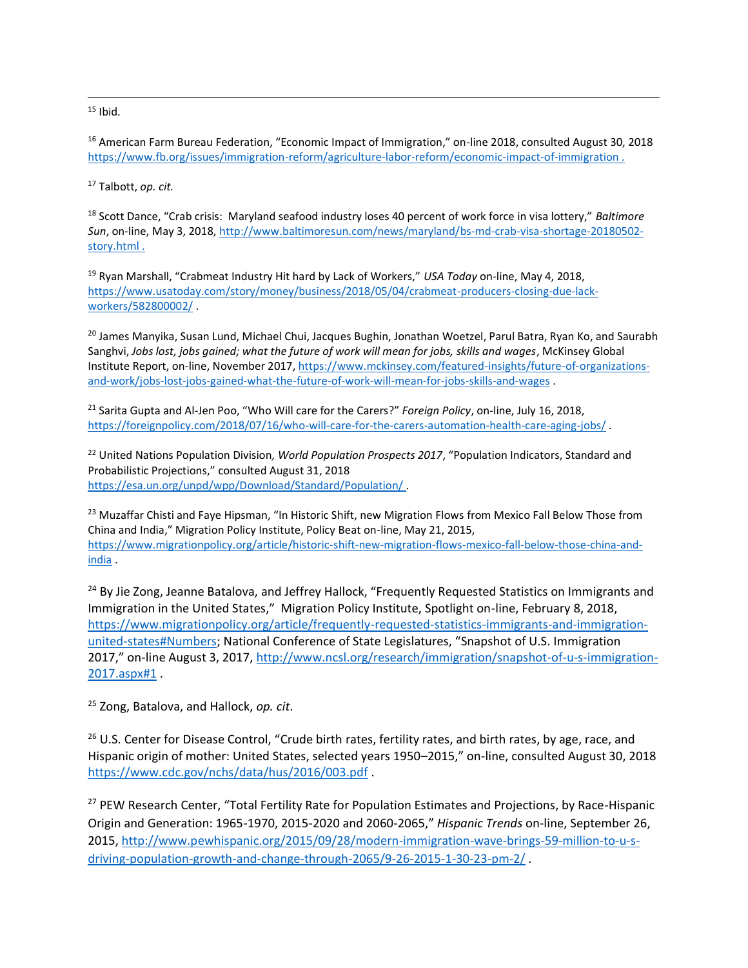l  $15$  Ibid.

<sup>16</sup> American Farm Bureau Federation, "Economic Impact of Immigration," on-line 2018, consulted August 30, 2018 <https://www.fb.org/issues/immigration-reform/agriculture-labor-reform/economic-impact-of-immigration> .

<sup>17</sup> Talbott, *op. cit.*

<sup>18</sup> Scott Dance, "Crab crisis: Maryland seafood industry loses 40 percent of work force in visa lottery," *Baltimore Sun*, on-line, May 3, 2018[, http://www.baltimoresun.com/news/maryland/bs-md-crab-visa-shortage-20180502](http://www.baltimoresun.com/news/maryland/bs-md-crab-visa-shortage-20180502-story.html) [story.html](http://www.baltimoresun.com/news/maryland/bs-md-crab-visa-shortage-20180502-story.html) .

<sup>19</sup> Ryan Marshall, "Crabmeat Industry Hit hard by Lack of Workers," *USA Today* on-line, May 4, 2018, [https://www.usatoday.com/story/money/business/2018/05/04/crabmeat-producers-closing-due-lack](https://www.usatoday.com/story/money/business/2018/05/04/crabmeat-producers-closing-due-lack-workers/582800002/)[workers/582800002/](https://www.usatoday.com/story/money/business/2018/05/04/crabmeat-producers-closing-due-lack-workers/582800002/) .

<sup>20</sup> James Manyika, Susan Lund, Michael Chui, Jacques Bughin, Jonathan Woetzel, Parul Batra, Ryan Ko, and Saurabh Sanghvi, *Jobs lost, jobs gained; what the future of work will mean for jobs, skills and wages*, McKinsey Global Institute Report, on-line, November 2017[, https://www.mckinsey.com/featured-insights/future-of-organizations](https://www.mckinsey.com/featured-insights/future-of-organizations-and-work/jobs-lost-jobs-gained-what-the-future-of-work-will-mean-for-jobs-skills-and-wages)[and-work/jobs-lost-jobs-gained-what-the-future-of-work-will-mean-for-jobs-skills-and-wages](https://www.mckinsey.com/featured-insights/future-of-organizations-and-work/jobs-lost-jobs-gained-what-the-future-of-work-will-mean-for-jobs-skills-and-wages) .

<sup>21</sup> Sarita Gupta and Al-Jen Poo, "Who Will care for the Carers?" *Foreign Policy*, on-line, July 16, 2018, <https://foreignpolicy.com/2018/07/16/who-will-care-for-the-carers-automation-health-care-aging-jobs/> .

<sup>22</sup> United Nations Population Division*, World Population Prospects 2017*, "Population Indicators, Standard and Probabilistic Projections," consulted August 31, 2018 <https://esa.un.org/unpd/wpp/Download/Standard/Population/> .

<sup>23</sup> Muzaffar Chisti and Faye Hipsman, "In Historic Shift, new Migration Flows from Mexico Fall Below Those from China and India," Migration Policy Institute, Policy Beat on-line, May 21, 2015, [https://www.migrationpolicy.org/article/historic-shift-new-migration-flows-mexico-fall-below-those-china-and](https://www.migrationpolicy.org/article/historic-shift-new-migration-flows-mexico-fall-below-those-china-and-india)[india](https://www.migrationpolicy.org/article/historic-shift-new-migration-flows-mexico-fall-below-those-china-and-india) .

<sup>24</sup> By Jie Zong, Jeanne Batalova, and Jeffrey Hallock, "Frequently Requested Statistics on Immigrants and Immigration in the United States," Migration Policy Institute, Spotlight on-line, February 8, 2018, [https://www.migrationpolicy.org/article/frequently-requested-statistics-immigrants-and-immigration](https://www.migrationpolicy.org/article/frequently-requested-statistics-immigrants-and-immigration-united-states#Numbers)[united-states#Numbers](https://www.migrationpolicy.org/article/frequently-requested-statistics-immigrants-and-immigration-united-states#Numbers); National Conference of State Legislatures, "Snapshot of U.S. Immigration 2017," on-line August 3, 2017, [http://www.ncsl.org/research/immigration/snapshot-of-u-s-immigration-](http://www.ncsl.org/research/immigration/snapshot-of-u-s-immigration-2017.aspx#1)[2017.aspx#1](http://www.ncsl.org/research/immigration/snapshot-of-u-s-immigration-2017.aspx#1) .

<sup>25</sup> Zong, Batalova, and Hallock, *op. cit*.

<sup>26</sup> U.S. Center for Disease Control, "Crude birth rates, fertility rates, and birth rates, by age, race, and Hispanic origin of mother: United States, selected years 1950–2015," on-line, consulted August 30, 2018 <https://www.cdc.gov/nchs/data/hus/2016/003.pdf> .

<sup>27</sup> PEW Research Center, "Total Fertility Rate for Population Estimates and Projections, by Race-Hispanic Origin and Generation: 1965-1970, 2015-2020 and 2060-2065," *Hispanic Trends* on-line, September 26, 2015[, http://www.pewhispanic.org/2015/09/28/modern-immigration-wave-brings-59-million-to-u-s](http://www.pewhispanic.org/2015/09/28/modern-immigration-wave-brings-59-million-to-u-s-driving-population-growth-and-change-through-2065/9-26-2015-1-30-23-pm-2/)[driving-population-growth-and-change-through-2065/9-26-2015-1-30-23-pm-2/](http://www.pewhispanic.org/2015/09/28/modern-immigration-wave-brings-59-million-to-u-s-driving-population-growth-and-change-through-2065/9-26-2015-1-30-23-pm-2/) .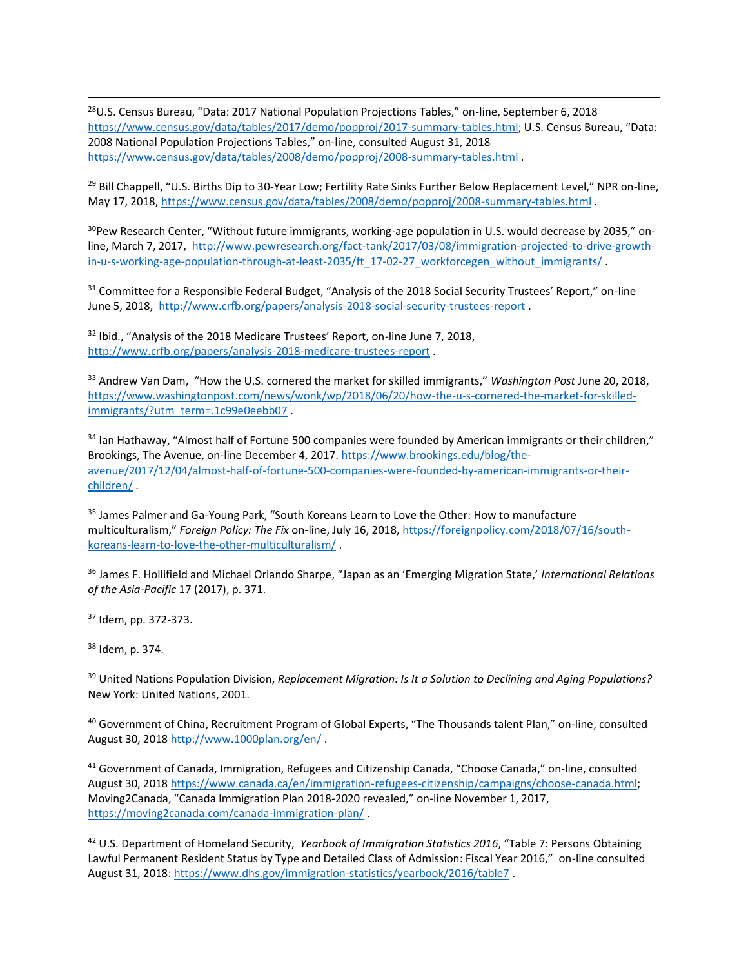<sup>28</sup>U.S. Census Bureau, "Data: 2017 National Population Projections Tables," on-line, September 6, 2018 [https://www.census.gov/data/tables/2017/demo/popproj/2017-summary-tables.html;](https://www.census.gov/data/tables/2017/demo/popproj/2017-summary-tables.html) U.S. Census Bureau, "Data: 2008 National Population Projections Tables," on-line, consulted August 31, 2018 <https://www.census.gov/data/tables/2008/demo/popproj/2008-summary-tables.html> .

<sup>29</sup> Bill Chappell, "U.S. Births Dip to 30-Year Low; Fertility Rate Sinks Further Below Replacement Level," NPR on-line, May 17, 2018,<https://www.census.gov/data/tables/2008/demo/popproj/2008-summary-tables.html> .

<sup>30</sup>Pew Research Center, "Without future immigrants, working-age population in U.S. would decrease by 2035," online, March 7, 2017, [http://www.pewresearch.org/fact-tank/2017/03/08/immigration-projected-to-drive-growth](http://www.pewresearch.org/fact-tank/2017/03/08/immigration-projected-to-drive-growth-in-u-s-working-age-population-through-at-least-2035/ft_17-02-27_workforcegen_without_immigrants/)[in-u-s-working-age-population-through-at-least-2035/ft\\_17-02-27\\_workforcegen\\_without\\_immigrants/](http://www.pewresearch.org/fact-tank/2017/03/08/immigration-projected-to-drive-growth-in-u-s-working-age-population-through-at-least-2035/ft_17-02-27_workforcegen_without_immigrants/) .

<sup>31</sup> Committee for a Responsible Federal Budget, "Analysis of the 2018 Social Security Trustees' Report," on-line June 5, 2018, <http://www.crfb.org/papers/analysis-2018-social-security-trustees-report> .

<sup>32</sup> Ibid., "Analysis of the 2018 Medicare Trustees' Report, on-line June 7, 2018, <http://www.crfb.org/papers/analysis-2018-medicare-trustees-report> .

<sup>33</sup> Andrew Van Dam, "How the U.S. cornered the market for skilled immigrants," *Washington Post* June 20, 2018, [https://www.washingtonpost.com/news/wonk/wp/2018/06/20/how-the-u-s-cornered-the-market-for-skilled](https://www.washingtonpost.com/news/wonk/wp/2018/06/20/how-the-u-s-cornered-the-market-for-skilled-immigrants/?utm_term=.1c99e0eebb07)[immigrants/?utm\\_term=.1c99e0eebb07](https://www.washingtonpost.com/news/wonk/wp/2018/06/20/how-the-u-s-cornered-the-market-for-skilled-immigrants/?utm_term=.1c99e0eebb07).

<sup>34</sup> Ian Hathaway, "Almost half of Fortune 500 companies were founded by American immigrants or their children," Brookings, The Avenue, on-line December 4, 2017[. https://www.brookings.edu/blog/the](https://www.brookings.edu/blog/the-avenue/2017/12/04/almost-half-of-fortune-500-companies-were-founded-by-american-immigrants-or-their-children/)[avenue/2017/12/04/almost-half-of-fortune-500-companies-were-founded-by-american-immigrants-or-their](https://www.brookings.edu/blog/the-avenue/2017/12/04/almost-half-of-fortune-500-companies-were-founded-by-american-immigrants-or-their-children/)[children/](https://www.brookings.edu/blog/the-avenue/2017/12/04/almost-half-of-fortune-500-companies-were-founded-by-american-immigrants-or-their-children/) .

<sup>35</sup> James Palmer and Ga-Young Park, "South Koreans Learn to Love the Other: How to manufacture multiculturalism," *Foreign Policy: The Fix* on-line, July 16, 2018[, https://foreignpolicy.com/2018/07/16/south](https://foreignpolicy.com/2018/07/16/south-koreans-learn-to-love-the-other-multiculturalism/)[koreans-learn-to-love-the-other-multiculturalism/](https://foreignpolicy.com/2018/07/16/south-koreans-learn-to-love-the-other-multiculturalism/) .

<sup>36</sup> James F. Hollifield and Michael Orlando Sharpe, "Japan as an 'Emerging Migration State,' *International Relations of the Asia-Pacific* 17 (2017), p. 371.

<sup>37</sup> Idem, pp. 372-373.

<sup>38</sup> Idem, p. 374.

l

<sup>39</sup> United Nations Population Division, *Replacement Migration: Is It a Solution to Declining and Aging Populations?* New York: United Nations, 2001.

<sup>40</sup> Government of China, Recruitment Program of Global Experts, "The Thousands talent Plan," on-line, consulted August 30, 2018<http://www.1000plan.org/en/> .

<sup>41</sup> Government of Canada, Immigration, Refugees and Citizenship Canada, "Choose Canada," on-line, consulted August 30, 2018 [https://www.canada.ca/en/immigration-refugees-citizenship/campaigns/choose-canada.html;](https://www.canada.ca/en/immigration-refugees-citizenship/campaigns/choose-canada.html) Moving2Canada, "Canada Immigration Plan 2018-2020 revealed," on-line November 1, 2017, <https://moving2canada.com/canada-immigration-plan/> .

<sup>42</sup> U.S. Department of Homeland Security, *Yearbook of Immigration Statistics 2016*, "Table 7: Persons Obtaining Lawful Permanent Resident Status by Type and Detailed Class of Admission: Fiscal Year 2016," on-line consulted August 31, 2018[: https://www.dhs.gov/immigration-statistics/yearbook/2016/table7](https://www.dhs.gov/immigration-statistics/yearbook/2016/table7).